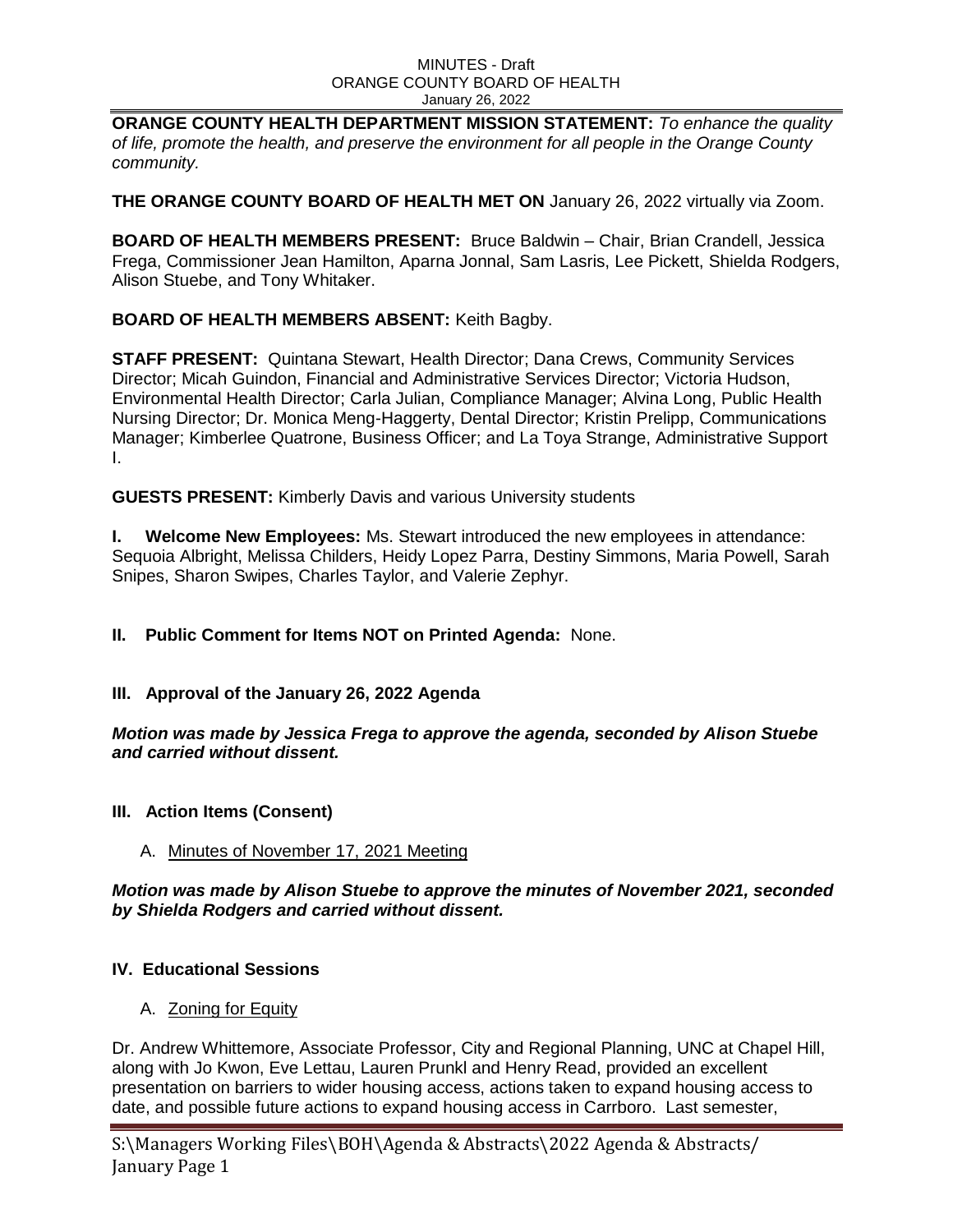**ORANGE COUNTY HEALTH DEPARTMENT MISSION STATEMENT:** *To enhance the quality of life, promote the health, and preserve the environment for all people in the Orange County community.*

**THE ORANGE COUNTY BOARD OF HEALTH MET ON** January 26, 2022 virtually via Zoom.

**BOARD OF HEALTH MEMBERS PRESENT:** Bruce Baldwin – Chair, Brian Crandell, Jessica Frega, Commissioner Jean Hamilton, Aparna Jonnal, Sam Lasris, Lee Pickett, Shielda Rodgers, Alison Stuebe, and Tony Whitaker.

# **BOARD OF HEALTH MEMBERS ABSENT:** Keith Bagby.

**STAFF PRESENT:** Quintana Stewart, Health Director; Dana Crews, Community Services Director; Micah Guindon, Financial and Administrative Services Director; Victoria Hudson, Environmental Health Director; Carla Julian, Compliance Manager; Alvina Long, Public Health Nursing Director; Dr. Monica Meng-Haggerty, Dental Director; Kristin Prelipp, Communications Manager; Kimberlee Quatrone, Business Officer; and La Toya Strange, Administrative Support I.

**GUESTS PRESENT:** Kimberly Davis and various University students

**I. Welcome New Employees:** Ms. Stewart introduced the new employees in attendance: Sequoia Albright, Melissa Childers, Heidy Lopez Parra, Destiny Simmons, Maria Powell, Sarah Snipes, Sharon Swipes, Charles Taylor, and Valerie Zephyr.

**II. Public Comment for Items NOT on Printed Agenda:** None.

## **III. Approval of the January 26, 2022 Agenda**

*Motion was made by Jessica Frega to approve the agenda, seconded by Alison Stuebe and carried without dissent.* 

## **III. Action Items (Consent)**

## A. Minutes of November 17, 2021 Meeting

*Motion was made by Alison Stuebe to approve the minutes of November 2021, seconded by Shielda Rodgers and carried without dissent.* 

## **IV. Educational Sessions**

A. **Zoning for Equity** 

Dr. Andrew Whittemore, Associate Professor, City and Regional Planning, UNC at Chapel Hill, along with Jo Kwon, Eve Lettau, Lauren Prunkl and Henry Read, provided an excellent presentation on barriers to wider housing access, actions taken to expand housing access to date, and possible future actions to expand housing access in Carrboro. Last semester,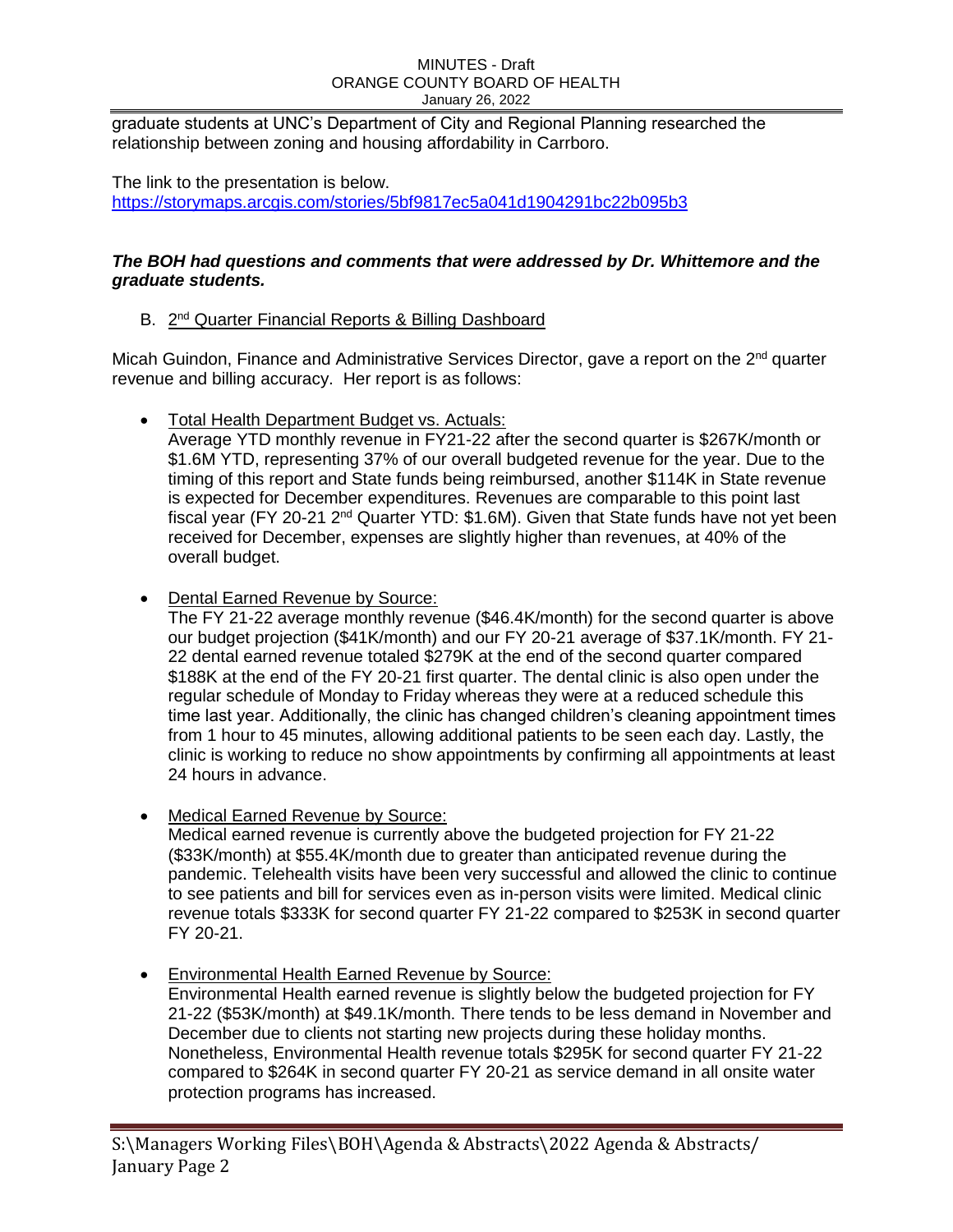graduate students at UNC's Department of City and Regional Planning researched the relationship between zoning and housing affordability in Carrboro.

The link to the presentation is below. [https://storymaps.arcgis.com/stories/5bf9817ec5a041d1904291bc22b095b3](https://urldefense.proofpoint.com/v2/url?u=https-3A__storymaps.arcgis.com_stories_5bf9817ec5a041d1904291bc22b095b3&d=DwMF-g&c=JRU6Crajf79kKcplUJFHFfpcQ9GkS9xWLut8YRTooJY&r=CPznVN47kY7H1Mid9QPBej0Dv7CpmfCLl-UTfNJDVaE&m=tlHBcthb8h5pjAaPGJJW-6mGS1kjqJzR3PKPyOYKSiKzdi60OJV2LAT-ZjsMtVVV&s=vIpksYCb6INGLswWeWwqyyrglIDJGNuCPHVsqzEUoeY&e=)

# *The BOH had questions and comments that were addressed by Dr. Whittemore and the graduate students.*

# B. 2<sup>nd</sup> Quarter Financial Reports & Billing Dashboard

Micah Guindon, Finance and Administrative Services Director, gave a report on the 2<sup>nd</sup> quarter revenue and billing accuracy. Her report is as follows:

• Total Health Department Budget vs. Actuals:

Average YTD monthly revenue in FY21-22 after the second quarter is \$267K/month or \$1.6M YTD, representing 37% of our overall budgeted revenue for the year. Due to the timing of this report and State funds being reimbursed, another \$114K in State revenue is expected for December expenditures. Revenues are comparable to this point last fiscal year (FY 20-21  $2<sup>nd</sup>$  Quarter YTD: \$1.6M). Given that State funds have not yet been received for December, expenses are slightly higher than revenues, at 40% of the overall budget.

Dental Earned Revenue by Source:

The FY 21-22 average monthly revenue (\$46.4K/month) for the second quarter is above our budget projection (\$41K/month) and our FY 20-21 average of \$37.1K/month. FY 21- 22 dental earned revenue totaled \$279K at the end of the second quarter compared \$188K at the end of the FY 20-21 first quarter. The dental clinic is also open under the regular schedule of Monday to Friday whereas they were at a reduced schedule this time last year. Additionally, the clinic has changed children's cleaning appointment times from 1 hour to 45 minutes, allowing additional patients to be seen each day. Lastly, the clinic is working to reduce no show appointments by confirming all appointments at least 24 hours in advance.

• Medical Earned Revenue by Source:

Medical earned revenue is currently above the budgeted projection for FY 21-22 (\$33K/month) at \$55.4K/month due to greater than anticipated revenue during the pandemic. Telehealth visits have been very successful and allowed the clinic to continue to see patients and bill for services even as in-person visits were limited. Medical clinic revenue totals \$333K for second quarter FY 21-22 compared to \$253K in second quarter FY 20-21.

Environmental Health Earned Revenue by Source:

Environmental Health earned revenue is slightly below the budgeted projection for FY 21-22 (\$53K/month) at \$49.1K/month. There tends to be less demand in November and December due to clients not starting new projects during these holiday months. Nonetheless, Environmental Health revenue totals \$295K for second quarter FY 21-22 compared to \$264K in second quarter FY 20-21 as service demand in all onsite water protection programs has increased.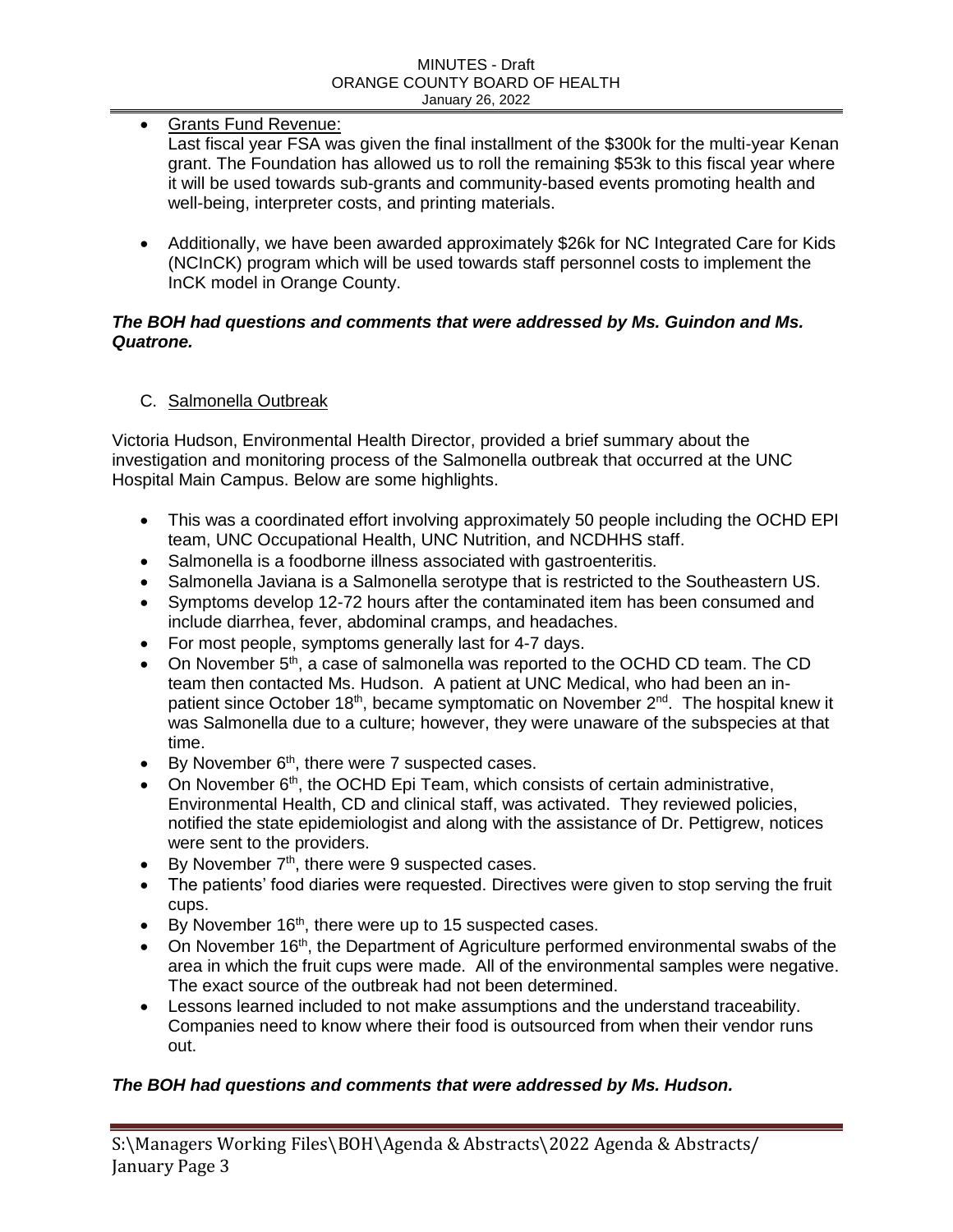Grants Fund Revenue:

- Last fiscal year FSA was given the final installment of the \$300k for the multi-year Kenan grant. The Foundation has allowed us to roll the remaining \$53k to this fiscal year where it will be used towards sub-grants and community-based events promoting health and well-being, interpreter costs, and printing materials.
- Additionally, we have been awarded approximately \$26k for NC Integrated Care for Kids (NCInCK) program which will be used towards staff personnel costs to implement the InCK model in Orange County.

## *The BOH had questions and comments that were addressed by Ms. Guindon and Ms. Quatrone.*

C. Salmonella Outbreak

Victoria Hudson, Environmental Health Director, provided a brief summary about the investigation and monitoring process of the Salmonella outbreak that occurred at the UNC Hospital Main Campus. Below are some highlights.

- This was a coordinated effort involving approximately 50 people including the OCHD EPI team, UNC Occupational Health, UNC Nutrition, and NCDHHS staff.
- Salmonella is a foodborne illness associated with gastroenteritis.
- Salmonella Javiana is a Salmonella serotype that is restricted to the Southeastern US.
- Symptoms develop 12-72 hours after the contaminated item has been consumed and include diarrhea, fever, abdominal cramps, and headaches.
- For most people, symptoms generally last for 4-7 days.
- $\bullet$  On November 5<sup>th</sup>, a case of salmonella was reported to the OCHD CD team. The CD team then contacted Ms. Hudson. A patient at UNC Medical, who had been an inpatient since October 18<sup>th</sup>, became symptomatic on November  $2^{nd}$ . The hospital knew it was Salmonella due to a culture; however, they were unaware of the subspecies at that time.
- $\bullet$  By November 6<sup>th</sup>, there were 7 suspected cases.
- $\bullet$  On November 6<sup>th</sup>, the OCHD Epi Team, which consists of certain administrative, Environmental Health, CD and clinical staff, was activated. They reviewed policies, notified the state epidemiologist and along with the assistance of Dr. Pettigrew, notices were sent to the providers.
- $\bullet$  By November  $7<sup>th</sup>$ , there were 9 suspected cases.
- The patients' food diaries were requested. Directives were given to stop serving the fruit cups.
- $\bullet$  By November 16<sup>th</sup>, there were up to 15 suspected cases.
- On November 16<sup>th</sup>, the Department of Agriculture performed environmental swabs of the area in which the fruit cups were made. All of the environmental samples were negative. The exact source of the outbreak had not been determined.
- Lessons learned included to not make assumptions and the understand traceability. Companies need to know where their food is outsourced from when their vendor runs out.

# *The BOH had questions and comments that were addressed by Ms. Hudson.*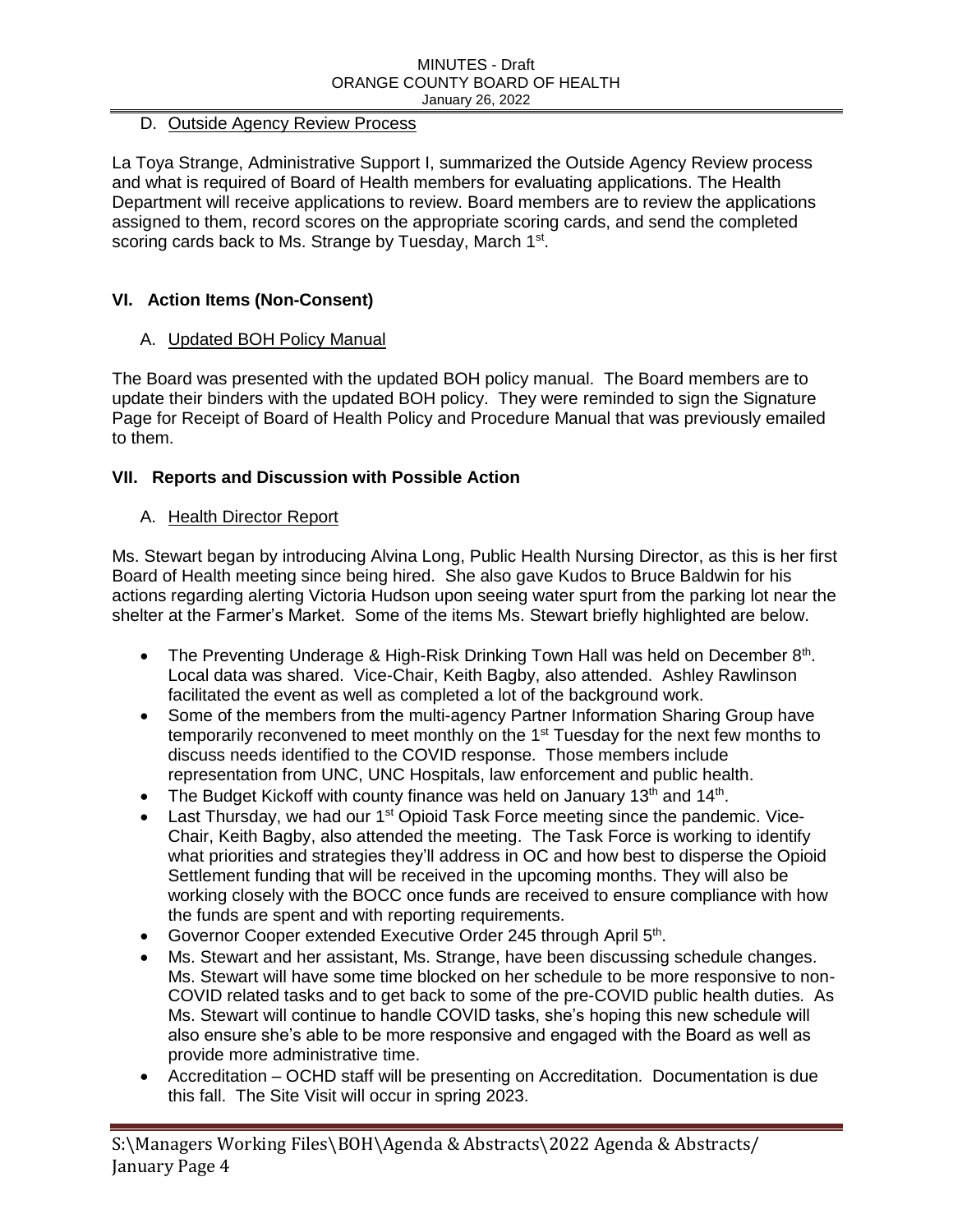# D. Outside Agency Review Process

La Toya Strange, Administrative Support I, summarized the Outside Agency Review process and what is required of Board of Health members for evaluating applications. The Health Department will receive applications to review. Board members are to review the applications assigned to them, record scores on the appropriate scoring cards, and send the completed scoring cards back to Ms. Strange by Tuesday, March 1<sup>st</sup>.

# **VI. Action Items (Non-Consent)**

# A. Updated BOH Policy Manual

The Board was presented with the updated BOH policy manual. The Board members are to update their binders with the updated BOH policy. They were reminded to sign the Signature Page for Receipt of Board of Health Policy and Procedure Manual that was previously emailed to them.

# **VII. Reports and Discussion with Possible Action**

## A. Health Director Report

Ms. Stewart began by introducing Alvina Long, Public Health Nursing Director, as this is her first Board of Health meeting since being hired. She also gave Kudos to Bruce Baldwin for his actions regarding alerting Victoria Hudson upon seeing water spurt from the parking lot near the shelter at the Farmer's Market. Some of the items Ms. Stewart briefly highlighted are below.

- The Preventing Underage & High-Risk Drinking Town Hall was held on December  $8<sup>th</sup>$ . Local data was shared. Vice-Chair, Keith Bagby, also attended. Ashley Rawlinson facilitated the event as well as completed a lot of the background work.
- Some of the members from the multi-agency Partner Information Sharing Group have temporarily reconvened to meet monthly on the 1<sup>st</sup> Tuesday for the next few months to discuss needs identified to the COVID response. Those members include representation from UNC, UNC Hospitals, law enforcement and public health.
- The Budget Kickoff with county finance was held on January  $13<sup>th</sup>$  and  $14<sup>th</sup>$ .
- **Last Thursday, we had our 1<sup>st</sup> Opioid Task Force meeting since the pandemic. Vice-**Chair, Keith Bagby, also attended the meeting. The Task Force is working to identify what priorities and strategies they'll address in OC and how best to disperse the Opioid Settlement funding that will be received in the upcoming months. They will also be working closely with the BOCC once funds are received to ensure compliance with how the funds are spent and with reporting requirements.
- Governor Cooper extended Executive Order 245 through April 5th.
- Ms. Stewart and her assistant, Ms. Strange, have been discussing schedule changes. Ms. Stewart will have some time blocked on her schedule to be more responsive to non-COVID related tasks and to get back to some of the pre-COVID public health duties. As Ms. Stewart will continue to handle COVID tasks, she's hoping this new schedule will also ensure she's able to be more responsive and engaged with the Board as well as provide more administrative time.
- Accreditation OCHD staff will be presenting on Accreditation. Documentation is due this fall. The Site Visit will occur in spring 2023.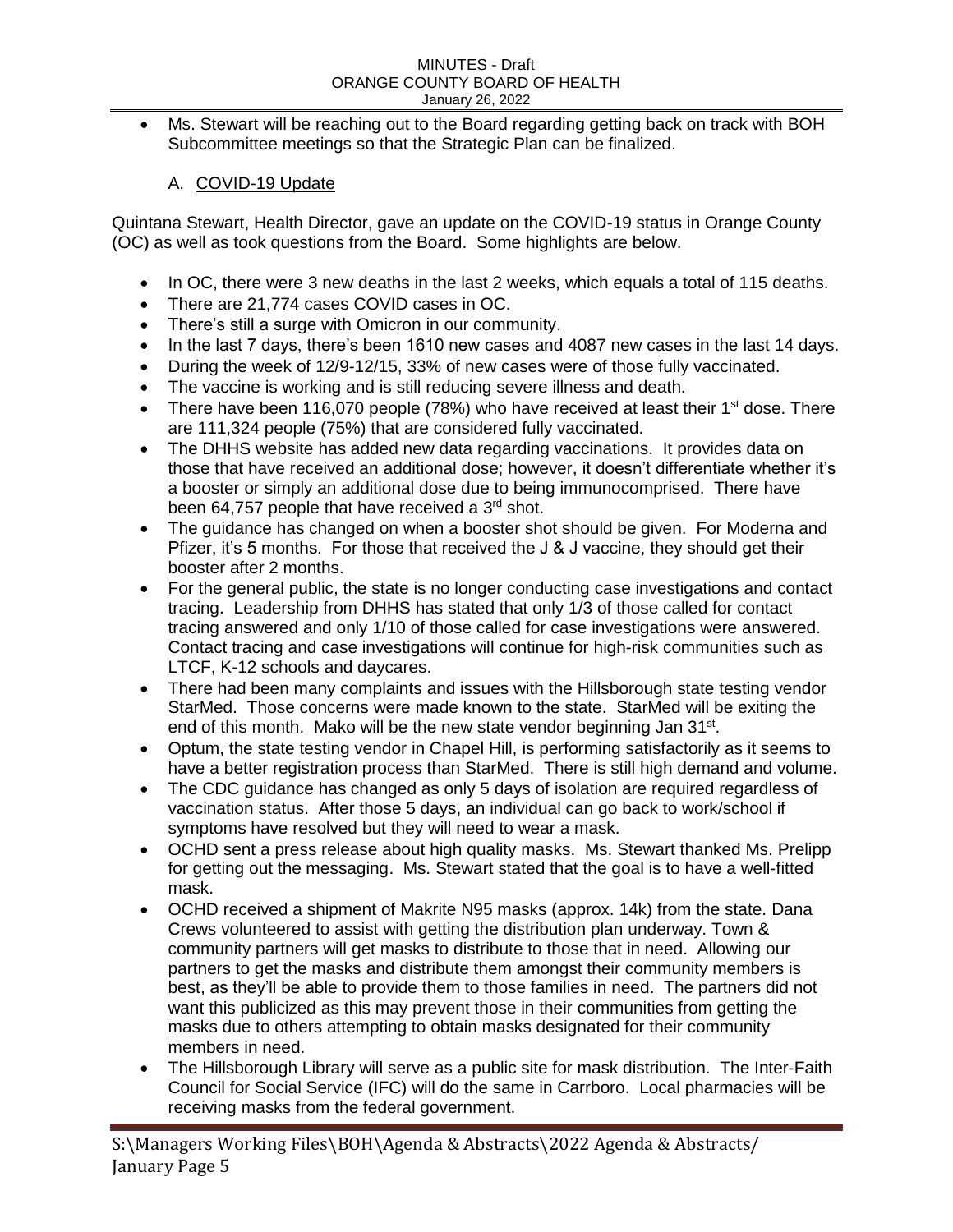Ms. Stewart will be reaching out to the Board regarding getting back on track with BOH Subcommittee meetings so that the Strategic Plan can be finalized.

# A. COVID-19 Update

Quintana Stewart, Health Director, gave an update on the COVID-19 status in Orange County (OC) as well as took questions from the Board. Some highlights are below.

- In OC, there were 3 new deaths in the last 2 weeks, which equals a total of 115 deaths.
- There are 21,774 cases COVID cases in OC.
- There's still a surge with Omicron in our community.
- In the last 7 days, there's been 1610 new cases and 4087 new cases in the last 14 days.
- During the week of 12/9-12/15, 33% of new cases were of those fully vaccinated.
- The vaccine is working and is still reducing severe illness and death.
- There have been 116,070 people (78%) who have received at least their  $1<sup>st</sup>$  dose. There are 111,324 people (75%) that are considered fully vaccinated.
- The DHHS website has added new data regarding vaccinations. It provides data on those that have received an additional dose; however, it doesn't differentiate whether it's a booster or simply an additional dose due to being immunocomprised. There have been 64,757 people that have received a 3<sup>rd</sup> shot.
- The guidance has changed on when a booster shot should be given. For Moderna and Pfizer, it's 5 months. For those that received the J & J vaccine, they should get their booster after 2 months.
- For the general public, the state is no longer conducting case investigations and contact tracing. Leadership from DHHS has stated that only 1/3 of those called for contact tracing answered and only 1/10 of those called for case investigations were answered. Contact tracing and case investigations will continue for high-risk communities such as LTCF, K-12 schools and daycares.
- There had been many complaints and issues with the Hillsborough state testing vendor StarMed. Those concerns were made known to the state. StarMed will be exiting the end of this month. Mako will be the new state vendor beginning Jan 31<sup>st</sup>.
- Optum, the state testing vendor in Chapel Hill, is performing satisfactorily as it seems to have a better registration process than StarMed. There is still high demand and volume.
- The CDC guidance has changed as only 5 days of isolation are required regardless of vaccination status. After those 5 days, an individual can go back to work/school if symptoms have resolved but they will need to wear a mask.
- OCHD sent a press release about high quality masks. Ms. Stewart thanked Ms. Prelipp for getting out the messaging. Ms. Stewart stated that the goal is to have a well-fitted mask.
- OCHD received a shipment of Makrite N95 masks (approx. 14k) from the state. Dana Crews volunteered to assist with getting the distribution plan underway. Town & community partners will get masks to distribute to those that in need. Allowing our partners to get the masks and distribute them amongst their community members is best, as they'll be able to provide them to those families in need. The partners did not want this publicized as this may prevent those in their communities from getting the masks due to others attempting to obtain masks designated for their community members in need.
- The Hillsborough Library will serve as a public site for mask distribution. The Inter-Faith Council for Social Service (IFC) will do the same in Carrboro. Local pharmacies will be receiving masks from the federal government.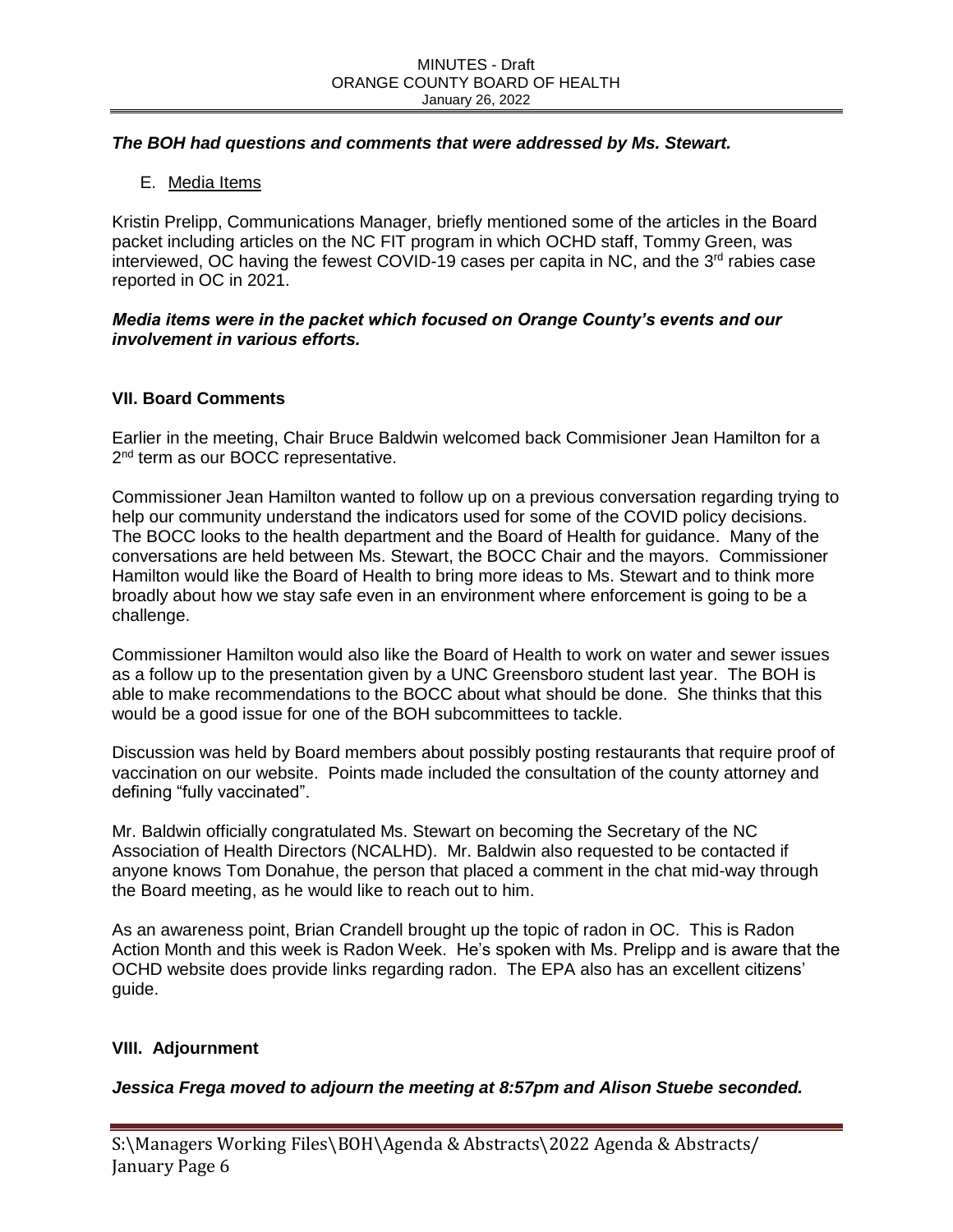## *The BOH had questions and comments that were addressed by Ms. Stewart.*

E. Media Items

Kristin Prelipp, Communications Manager, briefly mentioned some of the articles in the Board packet including articles on the NC FIT program in which OCHD staff, Tommy Green, was interviewed, OC having the fewest COVID-19 cases per capita in NC, and the  $3<sup>rd</sup>$  rabies case reported in OC in 2021.

## *Media items were in the packet which focused on Orange County's events and our involvement in various efforts.*

## **VII. Board Comments**

Earlier in the meeting, Chair Bruce Baldwin welcomed back Commisioner Jean Hamilton for a 2<sup>nd</sup> term as our BOCC representative.

Commissioner Jean Hamilton wanted to follow up on a previous conversation regarding trying to help our community understand the indicators used for some of the COVID policy decisions. The BOCC looks to the health department and the Board of Health for guidance. Many of the conversations are held between Ms. Stewart, the BOCC Chair and the mayors. Commissioner Hamilton would like the Board of Health to bring more ideas to Ms. Stewart and to think more broadly about how we stay safe even in an environment where enforcement is going to be a challenge.

Commissioner Hamilton would also like the Board of Health to work on water and sewer issues as a follow up to the presentation given by a UNC Greensboro student last year. The BOH is able to make recommendations to the BOCC about what should be done. She thinks that this would be a good issue for one of the BOH subcommittees to tackle.

Discussion was held by Board members about possibly posting restaurants that require proof of vaccination on our website. Points made included the consultation of the county attorney and defining "fully vaccinated".

Mr. Baldwin officially congratulated Ms. Stewart on becoming the Secretary of the NC Association of Health Directors (NCALHD). Mr. Baldwin also requested to be contacted if anyone knows Tom Donahue, the person that placed a comment in the chat mid-way through the Board meeting, as he would like to reach out to him.

As an awareness point, Brian Crandell brought up the topic of radon in OC. This is Radon Action Month and this week is Radon Week. He's spoken with Ms. Prelipp and is aware that the OCHD website does provide links regarding radon. The EPA also has an excellent citizens' guide.

## **VIII. Adjournment**

*Jessica Frega moved to adjourn the meeting at 8:57pm and Alison Stuebe seconded.*